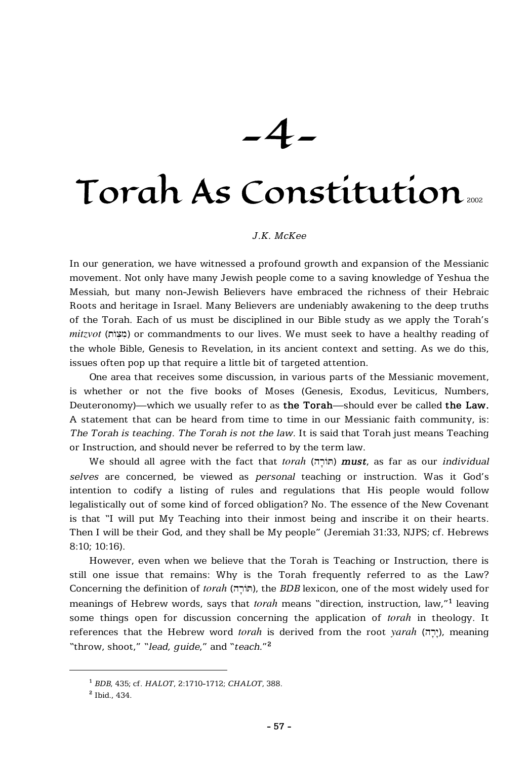-4-

# Torah As Constitution<sup>2002</sup>

#### *J.K. McKee*

In our generation, we have witnessed a profound growth and expansion of the Messianic movement. Not only have many Jewish people come to a saving knowledge of Yeshua the Messiah, but many non-Jewish Believers have embraced the richness of their Hebraic Roots and heritage in Israel. Many Believers are undeniably awakening to the deep truths of the Torah. Each of us must be disciplined in our Bible study as we apply the Torah's *mitzvot* (מִצְוֹח) or commandments to our lives. We must seek to have a healthy reading of the whole Bible, Genesis to Revelation, in its ancient context and setting. As we do this, issues often pop up that require a little bit of targeted attention.

One area that receives some discussion, in various parts of the Messianic movement, is whether or not the five books of Moses (Genesis, Exodus, Leviticus, Numbers, Deuteronomy)—which we usually refer to as **the Torah**—should ever be called **the Law.** A statement that can be heard from time to time in our Messianic faith community, is: *The Torah is teaching. The Torah is not the law.* It is said that Torah just means Teaching or Instruction, and should never be referred to by the term law.

We should all agree with the fact that *torah* (תוֹרָה) **must**, as far as our *individual selves* are concerned, be viewed as *personal* teaching or instruction. Was it God's intention to codify a listing of rules and regulations that His people would follow legalistically out of some kind of forced obligation? No. The essence of the New Covenant is that "I will put My Teaching into their inmost being and inscribe it on their hearts. Then I will be their God, and they shall be My people" (Jeremiah 31:33, NJPS; cf. Hebrews 8:10; 10:16).

However, even when we believe that the Torah is Teaching or Instruction, there is still one issue that remains: Why is the Torah frequently referred to as the Law? Concerning the definition of *torah* (חוֹרָה), the *BDB* lexicon, one of the most widely used for meanings of Hebrew words, says that *torah* means "direction, instruction, law,"**<sup>1</sup>** leaving some things open for discussion concerning the application of *torah* in theology. It references that the Hebrew word *torah* is derived from the root *yarah* (יִרָה), meaning "throw, shoot," "*lead, guide*," and "*teach.*" **2**

**<sup>1</sup>** *BDB*, 435; cf. *HALOT*, 2:1710-1712; *CHALOT*, 388.

**<sup>2</sup>** Ibid., 434.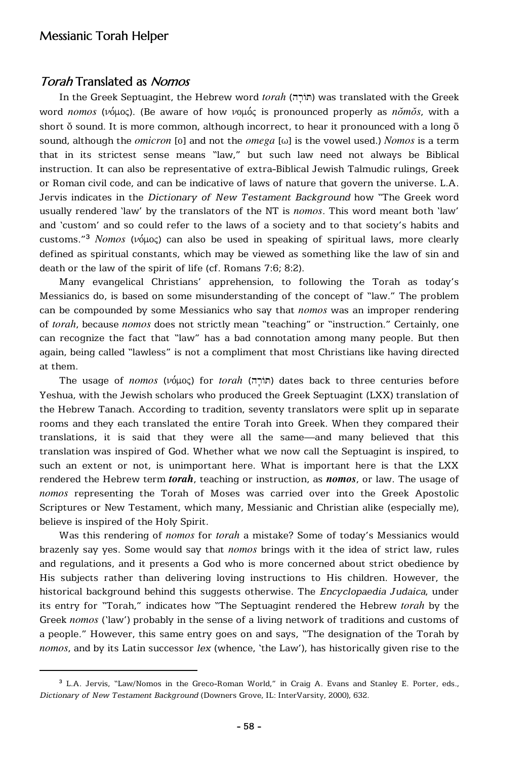### Torah Translated as Nomos

In the Greek Septuagint, the Hebrew word *torah* (חוֹרָה) was translated with the Greek word *nomos* (νόμος). (Be aware of how νομός is pronounced properly as *nomos*, with a short ŏ sound. It is more common, although incorrect, to hear it pronounced with a long ō sound, although the *omicron* [o] and not the *omega* [ω] is the vowel used.) *Nomos* is a term that in its strictest sense means "law," but such law need not always be Biblical instruction. It can also be representative of extra-Biblical Jewish Talmudic rulings, Greek or Roman civil code, and can be indicative of laws of nature that govern the universe. L.A. Jervis indicates in the *Dictionary of New Testament Background* how "The Greek word usually rendered 'law' by the translators of the NT is *nomos*. This word meant both 'law' and 'custom' and so could refer to the laws of a society and to that society's habits and customs."<sup>3</sup> *Nomos* ( $\nu$ <sup>2</sup> $\phi$ <sub>40</sub> $\phi$ ) can also be used in speaking of spiritual laws, more clearly defined as spiritual constants, which may be viewed as something like the law of sin and death or the law of the spirit of life (cf. Romans 7:6; 8:2).

Many evangelical Christians' apprehension, to following the Torah as today's Messianics do, is based on some misunderstanding of the concept of "law." The problem can be compounded by some Messianics who say that *nomos* was an improper rendering of *torah*, because *nomos* does not strictly mean "teaching" or "instruction." Certainly, one can recognize the fact that "law" has a bad connotation among many people. But then again, being called "lawless" is not a compliment that most Christians like having directed at them.

The usage of *nomos* (νόμος) for *torah* (חוֹרָה) dates back to three centuries before Yeshua, with the Jewish scholars who produced the Greek Septuagint (LXX) translation of the Hebrew Tanach. According to tradition, seventy translators were split up in separate rooms and they each translated the entire Torah into Greek. When they compared their translations, it is said that they were all the same—and many believed that this translation was inspired of God. Whether what we now call the Septuagint is inspired, to such an extent or not, is unimportant here. What is important here is that the LXX rendered the Hebrew term *torah*, teaching or instruction, as *nomos*, or law. The usage of *nomos* representing the Torah of Moses was carried over into the Greek Apostolic Scriptures or New Testament, which many, Messianic and Christian alike (especially me), believe is inspired of the Holy Spirit.

Was this rendering of *nomos* for *torah* a mistake? Some of today's Messianics would brazenly say yes. Some would say that *nomos* brings with it the idea of strict law, rules and regulations, and it presents a God who is more concerned about strict obedience by His subjects rather than delivering loving instructions to His children. However, the historical background behind this suggests otherwise. The *Encyclopaedia Judaica*, under its entry for "Torah," indicates how "The Septuagint rendered the Hebrew *torah* by the Greek *nomos* ('law') probably in the sense of a living network of traditions and customs of a people." However, this same entry goes on and says, "The designation of the Torah by *nomos*, and by its Latin successor *lex* (whence, 'the Law'), has historically given rise to the

**<sup>3</sup>** L.A. Jervis, "Law/Nomos in the Greco-Roman World," in Craig A. Evans and Stanley E. Porter, eds., *Dictionary of New Testament Background* (Downers Grove, IL: InterVarsity, 2000), 632.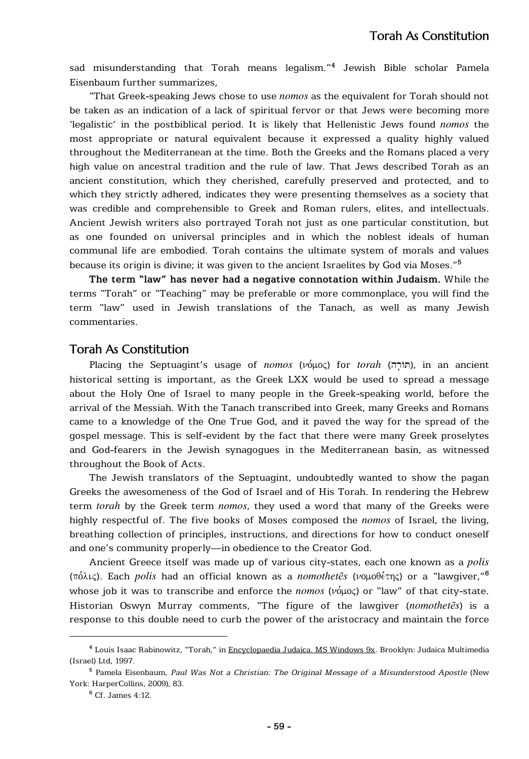sad misunderstanding that Torah means legalism."**<sup>4</sup>** Jewish Bible scholar Pamela Eisenbaum further summarizes,

"That Greek-speaking Jews chose to use *nomos* as the equivalent for Torah should not be taken as an indication of a lack of spiritual fervor or that Jews were becoming more 'legalistic' in the postbiblical period. It is likely that Hellenistic Jews found *nomos* the most appropriate or natural equivalent because it expressed a quality highly valued throughout the Mediterranean at the time. Both the Greeks and the Romans placed a very high value on ancestral tradition and the rule of law. That Jews described Torah as an ancient constitution, which they cherished, carefully preserved and protected, and to which they strictly adhered, indicates they were presenting themselves as a society that was credible and comprehensible to Greek and Roman rulers, elites, and intellectuals. Ancient Jewish writers also portrayed Torah not just as one particular constitution, but as one founded on universal principles and in which the noblest ideals of human communal life are embodied. Torah contains the ultimate system of morals and values because its origin is divine; it was given to the ancient Israelites by God via Moses."**<sup>5</sup>**

**The term "law" has never had a negative connotation within Judaism.** While the terms "Torah" or "Teaching" may be preferable or more commonplace, you will find the term "law" used in Jewish translations of the Tanach, as well as many Jewish commentaries.

#### Torah As Constitution

Placing the Septuagint's usage of *nomos* (νόμος) for *torah* (http://n.in an ancient historical setting is important, as the Greek LXX would be used to spread a message about the Holy One of Israel to many people in the Greek-speaking world, before the arrival of the Messiah. With the Tanach transcribed into Greek, many Greeks and Romans came to a knowledge of the One True God, and it paved the way for the spread of the gospel message. This is self-evident by the fact that there were many Greek proselytes and God-fearers in the Jewish synagogues in the Mediterranean basin, as witnessed throughout the Book of Acts.

The Jewish translators of the Septuagint, undoubtedly wanted to show the pagan Greeks the awesomeness of the God of Israel and of His Torah. In rendering the Hebrew term *torah* by the Greek term *nomos*, they used a word that many of the Greeks were highly respectful of. The five books of Moses composed the *nomos* of Israel, the living, breathing collection of principles, instructions, and directions for how to conduct oneself and one's community properly—in obedience to the Creator God.

Ancient Greece itself was made up of various city-states, each one known as a *polis*  $(\pi \delta \lambda \iota \zeta)$ . Each *polis* had an official known as a *nomothetes* (νομοθέτης) or a "lawgiver,"<sup>6</sup> whose job it was to transcribe and enforce the *nomos* ( $\nu$ *o* $\mu$ o<sub>*s*</sub>) or "law" of that city-state. Historian Oswyn Murray comments, "The figure of the lawgiver (*nomothetēs*) is a response to this double need to curb the power of the aristocracy and maintain the force

**<sup>4</sup>** Louis Isaac Rabinowitz, "Torah," in Encyclopaedia Judaica. MS Windows 9x. Brooklyn: Judaica Multimedia (Israel) Ltd, 1997.

**<sup>5</sup>** Pamela Eisenbaum, *Paul Was Not a Christian: The Original Message of a Misunderstood Apostle* (New York: HarperCollins, 2009), 83.

**<sup>6</sup>** Cf. James 4:12.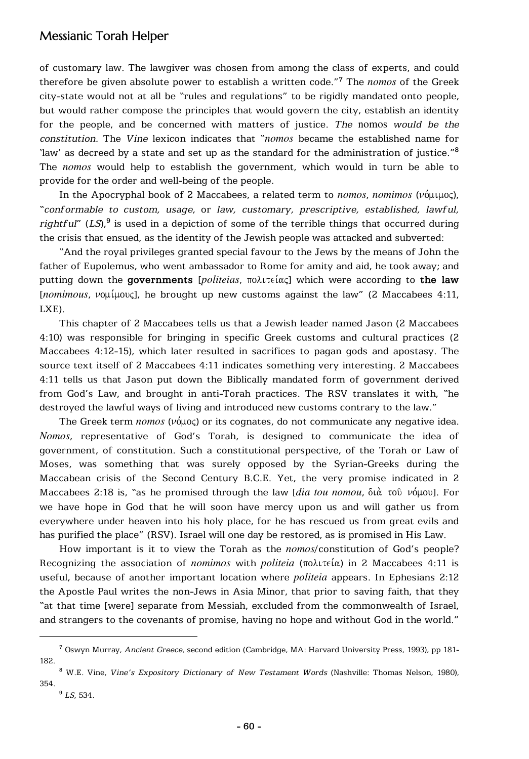## Messianic Torah Helper

of customary law. The lawgiver was chosen from among the class of experts, and could therefore be given absolute power to establish a written code."**<sup>7</sup>** The *nomos* of the Greek city-state would not at all be "rules and regulations" to be rigidly mandated onto people, but would rather compose the principles that would govern the city, establish an identity for the people, and be concerned with matters of justice. *The* nomos *would be the constitution.* The *Vine* lexicon indicates that "*nomos* became the established name for 'law' as decreed by a state and set up as the standard for the administration of justice."**<sup>8</sup>** The *nomos* would help to establish the government, which would in turn be able to provide for the order and well-being of the people.

In the Apocryphal book of 2 Maccabees, a related term to *nomos*, *nomimos* (νόμιμος), "*conformable to custom, usage,* or *law, customary, prescriptive, established, lawful, rightful*" (*LS*),**<sup>9</sup>** is used in a depiction of some of the terrible things that occurred during the crisis that ensued, as the identity of the Jewish people was attacked and subverted:

"And the royal privileges granted special favour to the Jews by the means of John the father of Eupolemus, who went ambassador to Rome for amity and aid, he took away; and **putting down the governments** [*politeias, πολιτείας*] which were according to **the law** [*nomimous*,  $\nu$ ομίμους], he brought up new customs against the law" (2 Maccabees 4:11, LXE).

This chapter of 2 Maccabees tells us that a Jewish leader named Jason (2 Maccabees 4:10) was responsible for bringing in specific Greek customs and cultural practices (2 Maccabees 4:12-15), which later resulted in sacrifices to pagan gods and apostasy. The source text itself of 2 Maccabees 4:11 indicates something very interesting. 2 Maccabees 4:11 tells us that Jason put down the Biblically mandated form of government derived from God's Law, and brought in anti-Torah practices. The RSV translates it with, "he destroyed the lawful ways of living and introduced new customs contrary to the law."

The Greek term  $nomos$  ( $v$ *ó* $\mu$ o $\varsigma$ ) or its cognates, do not communicate any negative idea. *Nomos*, representative of God's Torah, is designed to communicate the idea of government, of constitution. Such a constitutional perspective, of the Torah or Law of Moses, was something that was surely opposed by the Syrian-Greeks during the Maccabean crisis of the Second Century B.C.E. Yet, the very promise indicated in 2 Maccabees 2:18 is, "as he promised through the law *[dia tou nomou, διά το*ῦ νόμου]. For we have hope in God that he will soon have mercy upon us and will gather us from everywhere under heaven into his holy place, for he has rescued us from great evils and has purified the place" (RSV). Israel will one day be restored, as is promised in His Law.

How important is it to view the Torah as the *nomos*/constitution of God's people? Recognizing the association of *nomimos* with *politeia* ( $\pi$ o $\lambda$ ιτεία) in 2 Maccabees 4:11 is useful, because of another important location where *politeia* appears. In Ephesians 2:12 the Apostle Paul writes the non-Jews in Asia Minor, that prior to saving faith, that they "at that time [were] separate from Messiah, excluded from the commonwealth of Israel, and strangers to the covenants of promise, having no hope and without God in the world."

**<sup>7</sup>** Oswyn Murray, *Ancient Greece*, second edition (Cambridge, MA: Harvard University Press, 1993), pp 181- 182.

**<sup>8</sup>** W.E. Vine, *Vine's Expository Dictionary of New Testament Words* (Nashville: Thomas Nelson, 1980), 354.

**<sup>9</sup>** *LS*, 534.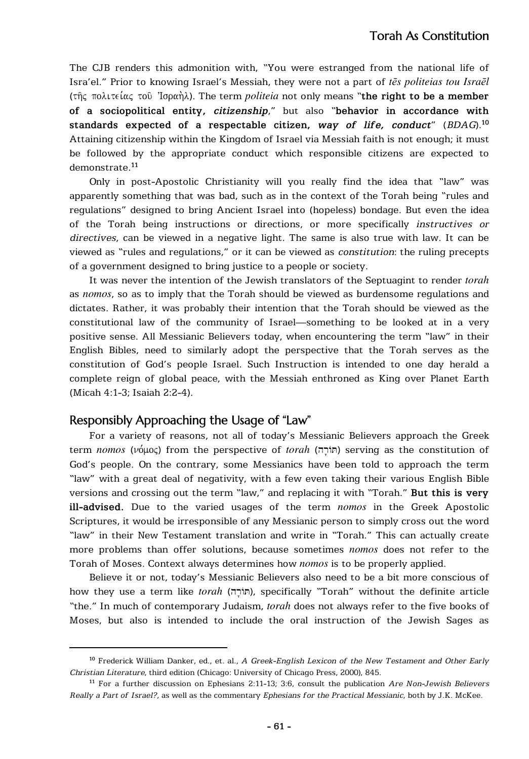The CJB renders this admonition with, "You were estranged from the national life of Isra'el." Prior to knowing Israel's Messiah, they were not a part of *tēs politeias tou Israēl* (της πολιτείας τοῦ Ἰσραὴλ). The term *politeia* not only means "the right to be a member **of a sociopolitical entity,** *citizenship*," but also "**behavior in accordance with standards expected of a respectable citizen,** *way of life, conduct*" (*BDAG*).**<sup>10</sup>** Attaining citizenship within the Kingdom of Israel via Messiah faith is not enough; it must be followed by the appropriate conduct which responsible citizens are expected to demonstrate.**<sup>11</sup>**

Only in post-Apostolic Christianity will you really find the idea that "law" was apparently something that was bad, such as in the context of the Torah being "rules and regulations" designed to bring Ancient Israel into (hopeless) bondage. But even the idea of the Torah being instructions or directions, or more specifically *instructives or directives*, can be viewed in a negative light. The same is also true with law. It can be viewed as "rules and regulations," or it can be viewed as *constitution*: the ruling precepts of a government designed to bring justice to a people or society.

It was never the intention of the Jewish translators of the Septuagint to render *torah* as *nomos*, so as to imply that the Torah should be viewed as burdensome regulations and dictates. Rather, it was probably their intention that the Torah should be viewed as the constitutional law of the community of Israel—something to be looked at in a very positive sense. All Messianic Believers today, when encountering the term "law" in their English Bibles, need to similarly adopt the perspective that the Torah serves as the constitution of God's people Israel. Such Instruction is intended to one day herald a complete reign of global peace, with the Messiah enthroned as King over Planet Earth (Micah 4:1-3; Isaiah 2:2-4).

#### Responsibly Approaching the Usage of "Law"

For a variety of reasons, not all of today's Messianic Believers approach the Greek term *nomos* (νόμος) from the perspective of *torah* (πίσι στης serving as the constitution of God's people. On the contrary, some Messianics have been told to approach the term "law" with a great deal of negativity, with a few even taking their various English Bible versions and crossing out the term "law," and replacing it with "Torah." **But this is very ill-advised.** Due to the varied usages of the term *nomos* in the Greek Apostolic Scriptures, it would be irresponsible of any Messianic person to simply cross out the word "law" in their New Testament translation and write in "Torah." This can actually create more problems than offer solutions, because sometimes *nomos* does not refer to the Torah of Moses. Context always determines how *nomos* is to be properly applied.

Believe it or not, today's Messianic Believers also need to be a bit more conscious of how they use a term like *torah* (תוֹרָה), specifically "Torah" without the definite article "the." In much of contemporary Judaism, *torah* does not always refer to the five books of Moses, but also is intended to include the oral instruction of the Jewish Sages as

**<sup>10</sup>** Frederick William Danker, ed., et. al., *A Greek-English Lexicon of the New Testament and Other Early Christian Literature*, third edition (Chicago: University of Chicago Press, 2000), 845.

**<sup>11</sup>** For a further discussion on Ephesians 2:11-13; 3:6, consult the publication *Are Non-Jewish Believers Really a Part of Israel?*, as well as the commentary *Ephesians for the Practical Messianic*, both by J.K. McKee.